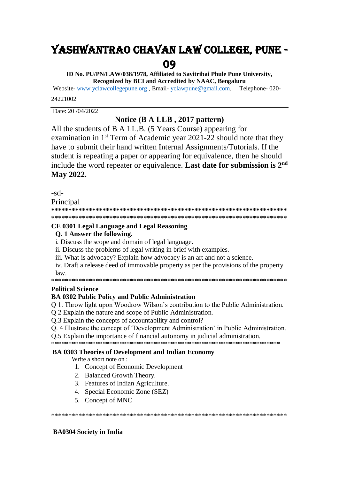# YASHWANTRAO CHAVAN LAW COLLEGE, PUNE -

09

ID No. PU/PN/LAW/038/1978. Affiliated to Savitribai Phule Pune University. Recognized by BCI and Accredited by NAAC, Bengaluru

Website-www.yclawcollegepune.org, Email-yclawpune@gmail.com. Telephone-020-24221002

Date: 20/04/2022

### Notice (B A LLB, 2017 pattern)

All the students of B A LL.B. (5 Years Course) appearing for examination in 1<sup>st</sup> Term of Academic year 2021-22 should note that they have to submit their hand written Internal Assignments/Tutorials. If the student is repeating a paper or appearing for equivalence, then he should include the word repeater or equivalence. Last date for submission is 2<sup>nd</sup> May 2022.

 $-sd-$ 

Principal

### CE 0301 Legal Language and Legal Reasoning

### Q. 1 Answer the following.

i. Discuss the scope and domain of legal language.

- ii. Discuss the problems of legal writing in brief with examples.
- iii. What is advocacy? Explain how advocacy is an art and not a science.

iv. Draft a release deed of immovable property as per the provisions of the property  $law.$ 

### **Political Science**

### **BA 0302 Public Policy and Public Administration**

Q 1. Throw light upon Woodrow Wilson's contribution to the Public Administration.

Q 2 Explain the nature and scope of Public Administration.

Q.3 Explain the concepts of accountability and control?

Q. 4 Illustrate the concept of 'Development Administration' in Public Administration.

O.5 Explain the importance of financial autonomy in judicial administration.

### **BA 0303 Theories of Development and Indian Economy**

Write a short note on:

- 1. Concept of Economic Development
- 2. Balanced Growth Theory.
- 3. Features of Indian Agriculture.
- 4. Special Economic Zone (SEZ)
- 5. Concept of MNC

### **BA0304 Society in India**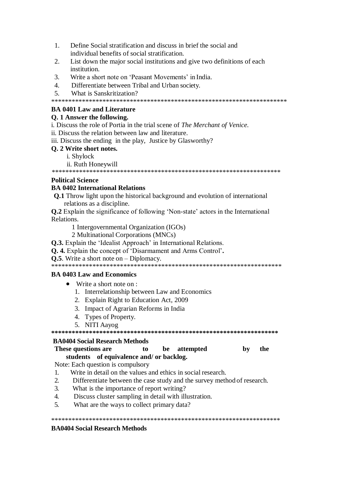- $1<sup>1</sup>$ Define Social stratification and discuss in brief the social and individual benefits of social stratification.
- List down the major social institutions and give two definitions of each  $2<sup>1</sup>$ institution
- Write a short note on 'Peasant Movements' in India.  $\mathcal{R}$
- Differentiate between Tribal and Urban society.  $\overline{4}$
- $5<sup>1</sup>$ What is Sanskritization?

### **BA 0401 Law and Literature**

### Q. 1 Answer the following.

i. Discuss the role of Portia in the trial scene of The Merchant of Venice.

ii. Discuss the relation between law and literature.

iii. Discuss the ending in the play, Justice by Glasworthy?

### O. 2 Write short notes.

- i. Shylock
- ii. Ruth Honeywill

### **Political Science**

### **BA 0402 International Relations**

**Q.1** Throw light upon the historical background and evolution of international relations as a discipline.

**Q.2** Explain the significance of following 'Non-state' actors in the International Relations

1 Intergovernmental Organization (IGOs)

2 Multinational Corporations (MNCs)

- Q.3. Explain the 'Idealist Approach' in International Relations.
- Q. 4. Explain the concept of 'Disarmament and Arms Control'.
- **O.5.** Write a short note on  $-$  Diplomacy.

### **BA 0403 Law and Economics**

- $\bullet$  Write a short note on :
	- 1. Interrelationship between Law and Economics
	- 2. Explain Right to Education Act, 2009
	- 3. Impact of Agrarian Reforms in India
	- 4. Types of Property.
	- 5. NITI Aavog

### **BA0404 Social Research Methods**

#### These questions are attempted the  $\mathbf{t}$ **be**  $\mathbf{h}\mathbf{v}$ students of equivalence and/ or backlog.

Note: Each question is compulsory

- Write in detail on the values and ethics in social research  $\mathbf{1}$
- $2.$ Differentiate between the case study and the survey method of research.

- $\mathcal{R}$ What is the importance of report writing?
- Discuss cluster sampling in detail with illustration.  $\overline{4}$
- $5<sub>1</sub>$ What are the ways to collect primary data?

## **BA0404 Social Research Methods**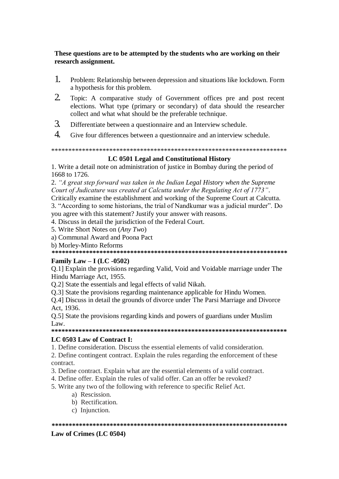### These questions are to be attempted by the students who are working on their research assignment.

- $\mathbf{1}$ Problem: Relationship between depression and situations like lockdown. Form a hypothesis for this problem.
- $\overline{2}$ Topic: A comparative study of Government offices pre and post recent elections. What type (primary or secondary) of data should the researcher collect and what what should be the preferable technique.
- $\mathcal{F}$ Differentiate between a questionnaire and an Interview schedule.
- $\overline{A}$ Give four differences between a questionnaire and an interview schedule.

### LC 0501 Legal and Constitutional History

1. Write a detail note on administration of justice in Bombay during the period of 1668 to 1726.

2. "A great step forward was taken in the Indian Legal History when the Supreme Court of Judicature was created at Calcutta under the Regulating Act of 1773".

Critically examine the establishment and working of the Supreme Court at Calcutta. 3. "According to some historians, the trial of Nandkumar was a judicial murder". Do you agree with this statement? Justify your answer with reasons.

- 4. Discuss in detail the jurisdiction of the Federal Court.
- 5. Write Short Notes on (Any Two)
- a) Communal Award and Poona Pact
- b) Morley-Minto Reforms

#### 

### Family Law – I (LC -0502)

Q.1] Explain the provisions regarding Valid, Void and Voidable marriage under The Hindu Marriage Act, 1955.

O.2] State the essentials and legal effects of valid Nikah.

Q.3] State the provisions regarding maintenance applicable for Hindu Women.

Q.4] Discuss in detail the grounds of divorce under The Parsi Marriage and Divorce Act. 1936.

Q.5] State the provisions regarding kinds and powers of guardians under Muslim  $Law$ 

### LC 0503 Law of Contract I:

1. Define consideration. Discuss the essential elements of valid consideration.

2. Define contingent contract. Explain the rules regarding the enforcement of these contract.

- 3. Define contract. Explain what are the essential elements of a valid contract.
- 4. Define offer. Explain the rules of valid offer. Can an offer be revoked?
- 5. Write any two of the following with reference to specific Relief Act.
	- a) Rescission.
	- b) Rectification.
	- c) Injunction.

#### 

### Law of Crimes (LC 0504)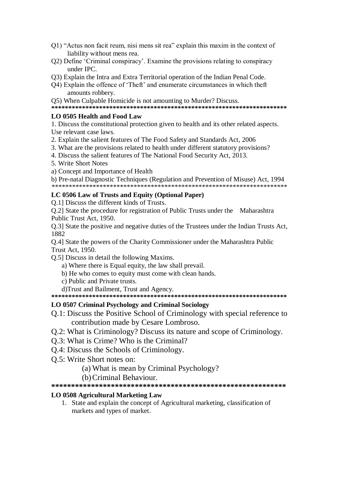- Q1) "Actus non facit reum, nisi mens sit rea" explain this maxim in the context of liability without mens rea.
- Q2) Define 'Criminal conspiracy'. Examine the provisions relating to conspiracy under IPC.
- Q3) Explain the Intra and Extra Territorial operation of the Indian Penal Code.
- O4) Explain the offence of 'Theft' and enumerate circumstances in which theft amounts robbery.

O5) When Culpable Homicide is not amounting to Murder? Discuss.

### LO 0505 Health and Food Law

1. Discuss the constitutional protection given to health and its other related aspects. Use relevant case laws.

- 2. Explain the salient features of The Food Safety and Standards Act, 2006
- 3. What are the provisions related to health under different statutory provisions?
- 4. Discuss the salient features of The National Food Security Act, 2013.
- 5. Write Short Notes
- a) Concept and Importance of Health

b) Pre-natal Diagnostic Techniques (Regulation and Prevention of Misuse) Act. 1994

### LC 0506 Law of Trusts and Equity (Optional Paper)

O.11 Discuss the different kinds of Trusts.

O.2] State the procedure for registration of Public Trusts under the Maharashtra Public Trust Act, 1950.

Q.3] State the positive and negative duties of the Trustees under the Indian Trusts Act, 1882

Q.4] State the powers of the Charity Commissioner under the Maharashtra Public **Trust Act, 1950.** 

Q.5] Discuss in detail the following Maxims.

- a) Where there is Equal equity, the law shall prevail.
- b) He who comes to equity must come with clean hands.
- c) Public and Private trusts.

d)Trust and Bailment, Trust and Agency.

### LO 0507 Criminal Psychology and Criminal Sociology

- Q.1: Discuss the Positive School of Criminology with special reference to contribution made by Cesare Lombroso.
- Q.2: What is Criminology? Discuss its nature and scope of Criminology.
- O.3: What is Crime? Who is the Criminal?
- Q.4: Discuss the Schools of Criminology.
- O.5: Write Short notes on:
	- (a) What is mean by Criminal Psychology?
	- (b) Criminal Behaviour.

### **LO 0508 Agricultural Marketing Law**

1. State and explain the concept of Agricultural marketing, classification of markets and types of market.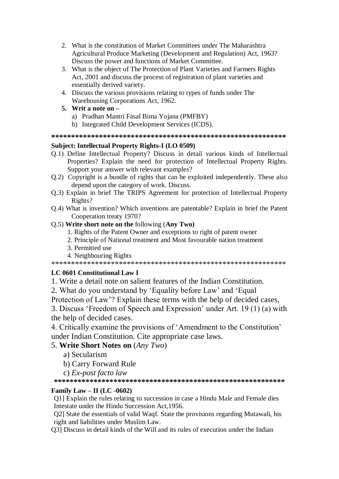- 2. What is the constitution of Market Committees under The Maharashtra Agricultural Produce Marketing (Development and Regulation) Act, 1963? Discuss the power and functions of Market Committee.
- 3. What is the object of The Protection of Plant Varieties and Farmers Rights Act, 2001 and discuss the process of registration of plant varieties and essentially derived variety.
- 4. Discuss the various provisions relating to types of funds under The Warehousing Corporations Act, 1962.
- 5. Writ a note on  $$ 
	- a) Pradhan Mantri Fasal Bima Yojana (PMFBY)
	- b) Integrated Child Development Services (ICDS).

### **Subject: Intellectual Property Rights-I (LO 0509)**

- Q.1) Define Intellectual Property? Discuss in detail various kinds of Intellectual Properties? Explain the need for protection of Intellectual Property Rights. Support your answer with relevant examples?
- Q.2) Copyright is a bundle of rights that can be exploited independently. These also depend upon the category of work. Discuss.
- Q.3) Explain in brief The TRIPS Agreement for protection of Intellectual Property Rights?
- O.4) What is invention? Which inventions are patentable? Explain in brief the Patent Cooperation treaty 1970?

### Q.5) Write short note on the following (Any Two)

- 1. Rights of the Patent Owner and exceptions to right of patent owner
- 2. Principle of National treatment and Most favourable nation treatment
- 3. Permitted use
- 4. Neighbouring Rights

### LC 0601 Constitutional Law I

1. Write a detail note on salient features of the Indian Constitution.

2. What do you understand by 'Equality before Law' and 'Equal

Protection of Law'? Explain these terms with the help of decided cases,

3. Discuss 'Freedom of Speech and Expression' under Art. 19 (1) (a) with the help of decided cases.

4. Critically examine the provisions of 'Amendment to the Constitution' under Indian Constitution. Cite appropriate case laws.

### 5. Write Short Notes on (Any Two)

- a) Secularism
- b) Carry Forward Rule
- c) Ex-post facto law

### Family Law – II (LC -0602)

Q1] Explain the rules relating to succession in case a Hindu Male and Female dies Intestate under the Hindu Succession Act, 1956.

Q2] State the essentials of valid Waqf. State the provisions regarding Mutawali, his right and liabilities under Muslim Law.

Q3] Discuss in detail kinds of the Will and its rules of execution under the Indian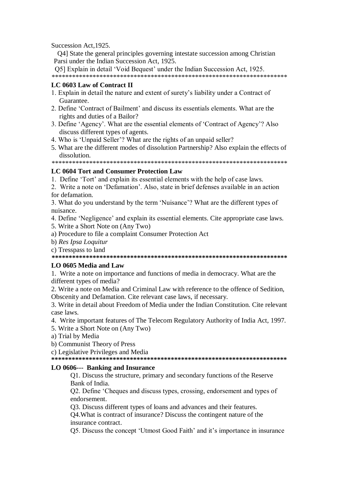Succession Act, 1925.

Q4] State the general principles governing intestate succession among Christian Parsi under the Indian Succession Act, 1925.

Q5] Explain in detail 'Void Bequest' under the Indian Succession Act. 1925.

### LC 0603 Law of Contract II

- 1. Explain in detail the nature and extent of surety's liability under a Contract of Guarantee.
- 2. Define 'Contract of Bailment' and discuss its essentials elements. What are the rights and duties of a Bailor?
- 3. Define 'Agency'. What are the essential elements of 'Contract of Agency'? Also discuss different types of agents.
- 4. Who is 'Unpaid Seller'? What are the rights of an unpaid seller?
- 5. What are the different modes of dissolution Partnership? Also explain the effects of dissolution.

### **LC 0604 Tort and Consumer Protection Law**

1. Define 'Tort' and explain its essential elements with the help of case laws.

2. Write a note on 'Defamation'. Also, state in brief defenses available in an action for defamation.

3. What do you understand by the term 'Nuisance'? What are the different types of nuisance.

4. Define 'Negligence' and explain its essential elements. Cite appropriate case laws.

- 5. Write a Short Note on (Any Two)
- a) Procedure to file a complaint Consumer Protection Act
- b) Res Ipsa Loquitur
- c) Tresspass to land

### LO 0605 Media and Law

1. Write a note on importance and functions of media in democracy. What are the different types of media?

2. Write a note on Media and Criminal Law with reference to the offence of Sedition, Obscenity and Defamation. Cite relevant case laws, if necessary.

3. Write in detail about Freedom of Media under the Indian Constitution. Cite relevant case laws.

- 4. Write important features of The Telecom Regulatory Authority of India Act, 1997.
- 5. Write a Short Note on (Any Two)
- a) Trial by Media
- b) Communist Theory of Press

c) Legislative Privileges and Media

### LO 0606--- Banking and Insurance

Q1. Discuss the structure, primary and secondary functions of the Reserve Bank of India.

O2. Define 'Cheques and discuss types, crossing, endorsement and types of endorsement.

Q3. Discuss different types of loans and advances and their features.

Q4. What is contract of insurance? Discuss the contingent nature of the insurance contract.

Q5. Discuss the concept 'Utmost Good Faith' and it's importance in insurance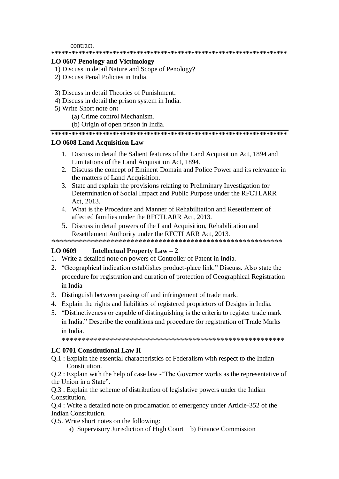contract.

#### 

### **LO 0607 Penology and Victimology**

- 1) Discuss in detail Nature and Scope of Penology?
- 2) Discuss Penal Policies in India.
- 3) Discuss in detail Theories of Punishment.
- 4) Discuss in detail the prison system in India.
- 5) Write Short note on:
	- (a) Crime control Mechanism.
	- (b) Origin of open prison in India.

### 

### **LO 0608 Land Acquisition Law**

- 1. Discuss in detail the Salient features of the Land Acquisition Act, 1894 and Limitations of the Land Acquisition Act, 1894.
- 2. Discuss the concept of Eminent Domain and Police Power and its relevance in the matters of Land Acquisition.
- 3. State and explain the provisions relating to Preliminary Investigation for Determination of Social Impact and Public Purpose under the RFCTLARR Act. 2013.
- 4. What is the Procedure and Manner of Rehabilitation and Resettlement of affected families under the RFCTLARR Act. 2013.
- 5. Discuss in detail powers of the Land Acquisition, Rehabilitation and Resettlement Authority under the RFCTLARR Act. 2013.

#### LO 0609 **Intellectual Property Law – 2**

- 1. Write a detailed note on powers of Controller of Patent in India.
- 2. "Geographical indication establishes product-place link." Discuss. Also state the procedure for registration and duration of protection of Geographical Registration in India
- 3. Distinguish between passing off and infringement of trade mark.
- 4. Explain the rights and liabilities of registered proprietors of Designs in India.
- 5. "Distinctiveness or capable of distinguishing is the criteria to register trade mark in India." Describe the conditions and procedure for registration of Trade Marks in India.

### LC 0701 Constitutional Law II

Q.1 : Explain the essential characteristics of Federalism with respect to the Indian Constitution.

Q.2 : Explain with the help of case law - The Governor works as the representative of the Union in a State".

O.3 : Explain the scheme of distribution of legislative powers under the Indian Constitution.

Q.4 : Write a detailed note on proclamation of emergency under Article-352 of the Indian Constitution.

Q.5. Write short notes on the following:

a) Supervisory Jurisdiction of High Court b) Finance Commission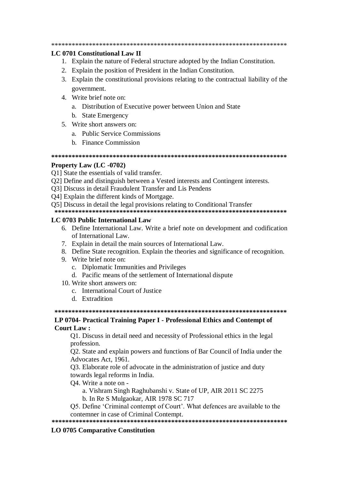#### **LC 0701 Constitutional Law II**

- 1. Explain the nature of Federal structure adopted by the Indian Constitution.
- 2. Explain the position of President in the Indian Constitution.
- 3. Explain the constitutional provisions relating to the contractual liability of the government.
- 4. Write brief note on:
	- a. Distribution of Executive power between Union and State
	- b. State Emergency
- 5. Write short answers on:
	- a. Public Service Commissions
	- **b** Finance Commission

#### 

#### **Property Law (LC -0702)**

O1] State the essentials of valid transfer.

- Q2] Define and distinguish between a Vested interests and Contingent interests.
- Q3] Discuss in detail Fraudulent Transfer and Lis Pendens
- O41 Explain the different kinds of Mortgage.
- O51 Discuss in detail the legal provisions relating to Conditional Transfer

#### LC 0703 Public International Law

- 6. Define International Law. Write a brief note on development and codification of International Law.
- 7. Explain in detail the main sources of International Law.
- 8. Define State recognition. Explain the theories and significance of recognition.
- 9. Write brief note on:
	- c. Diplomatic Immunities and Privileges
	- d. Pacific means of the settlement of International dispute
- 10. Write short answers on:
	- c. International Court of Justice
	- d Extradition

#### LP 0704- Practical Training Paper I - Professional Ethics and Contempt of **Court Law:**

Q1. Discuss in detail need and necessity of Professional ethics in the legal profession.

Q2. State and explain powers and functions of Bar Council of India under the Advocates Act. 1961.

Q3. Elaborate role of advocate in the administration of justice and duty towards legal reforms in India.

O4. Write a note on -

a. Vishram Singh Raghubanshi v. State of UP, AIR 2011 SC 2275

b. In Re S Mulgaokar, AIR 1978 SC 717

Q5. Define 'Criminal contempt of Court'. What defences are available to the contemner in case of Criminal Contempt.

### 

#### **LO 0705 Comparative Constitution**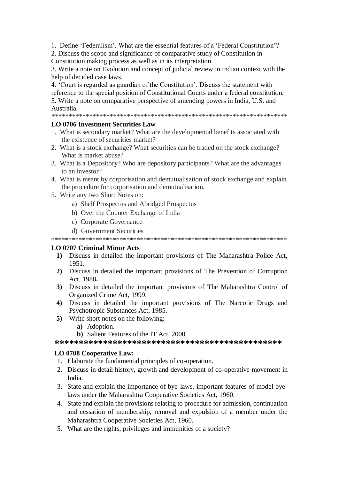1. Define 'Federalism'. What are the essential features of a 'Federal Constitution'?

2. Discuss the scope and significance of comparative study of Constitution in Constitution making process as well as in its interpretation.

3. Write a note on Evolution and concept of judicial review in Indian context with the help of decided case laws.

4. 'Court is regarded as guardian of the Constitution'. Discuss the statement with reference to the special position of Constitutional Courts under a federal constitution. 5. Write a note on comparative perspective of amending powers in India, U.S. and

Australia.

### **LO 0706 Investment Securities Law**

- 1. What is secondary market? What are the developmental benefits associated with the existence of securities market?
- 2. What is a stock exchange? What securities can be traded on the stock exchange? What is market abuse?
- 3. What is a Depository? Who are depository participants? What are the advantages to an investor?
- 4. What is meant by corporisation and demutualisation of stock exchange and explain the procedure for corporisation and demutualisation.
- 5. Write any two Short Notes on:
	- a) Shelf Prospectus and Abridged Prospectus
	- b) Over the Counter Exchange of India
	- c) Corporate Governance
	- d) Government Securities

### **LO 0707 Criminal Minor Acts**

- 1) Discuss in detailed the important provisions of The Maharashtra Police Act, 1951.
- 2) Discuss in detailed the important provisions of The Prevention of Corruption Act. 1988.
- 3) Discuss in detailed the important provisions of The Maharashtra Control of Organized Crime Act, 1999.
- 4) Discuss in detailed the important provisions of The Narcotic Drugs and Psychotropic Substances Act, 1985.
- 5) Write short notes on the following:
	- a) Adoption.
	- b) Salient Features of the IT Act, 2000.

### **LO 0708 Cooperative Law:**

- 1. Elaborate the fundamental principles of co-operation.
- 2. Discuss in detail history, growth and development of co-operative movement in India.
- 3. State and explain the importance of bye-laws, important features of model byelaws under the Maharashtra Cooperative Societies Act, 1960.
- 4. State and explain the provisions relating to procedure for admission, continuation and cessation of membership, removal and expulsion of a member under the Maharashtra Cooperative Societies Act, 1960.
- 5. What are the rights, privileges and immunities of a society?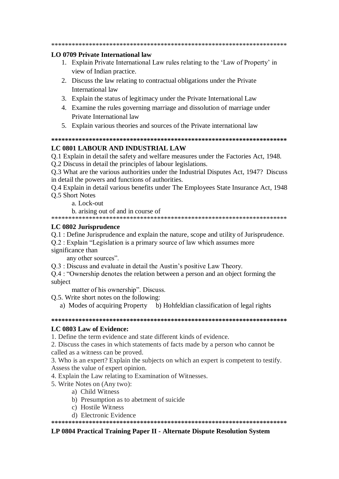### **LO 0709 Private International law**

- 1. Explain Private International Law rules relating to the 'Law of Property' in view of Indian practice.
- 2. Discuss the law relating to contractual obligations under the Private International law
- 3. Explain the status of legitimacy under the Private International Law
- 4. Examine the rules governing marriage and dissolution of marriage under Private International law
- 5. Explain various theories and sources of the Private international law

### LC 0801 LABOUR AND INDUSTRIAL LAW

Q.1 Explain in detail the safety and welfare measures under the Factories Act, 1948.

Q.2 Discuss in detail the principles of labour legislations.

O.3 What are the various authorities under the Industrial Disputes Act, 1947? Discuss in detail the powers and functions of authorities.

Q.4 Explain in detail various benefits under The Employees State Insurance Act, 1948 **O.5 Short Notes** 

a. Lock-out

b. arising out of and in course of

### LC 0802 Jurisprudence

Q.1 : Define Jurisprudence and explain the nature, scope and utility of Jurisprudence.

O.2 : Explain "Legislation is a primary source of law which assumes more significance than

any other sources".

O.3 : Discuss and evaluate in detail the Austin's positive Law Theory.

Q.4 : "Ownership denotes the relation between a person and an object forming the subject

matter of his ownership". Discuss.

Q.5. Write short notes on the following:

a) Modes of acquiring Property b) Hohfeldian classification of legal rights

### LC 0803 Law of Evidence:

1. Define the term evidence and state different kinds of evidence.

2. Discuss the cases in which statements of facts made by a person who cannot be called as a witness can be proved.

3. Who is an expert? Explain the subjects on which an expert is competent to testify. Assess the value of expert opinion.

4. Explain the Law relating to Examination of Witnesses.

5. Write Notes on (Any two):

- a) Child Witness
- b) Presumption as to abetment of suicide
- c) Hostile Witness
- d) Electronic Evidence

### LP 0804 Practical Training Paper II - Alternate Dispute Resolution System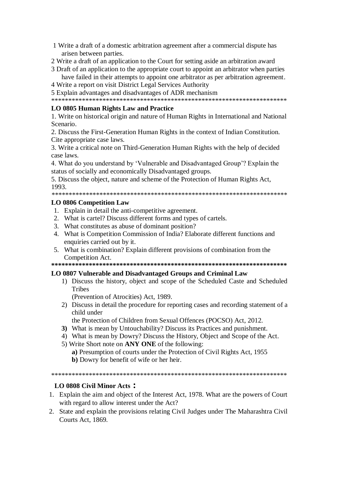- 1 Write a draft of a domestic arbitration agreement after a commercial dispute has arisen between parties.
- 2 Write a draft of an application to the Court for setting aside an arbitration award
- 3 Draft of an application to the appropriate court to appoint an arbitrator when parties have failed in their attempts to appoint one arbitrator as per arbitration agreement.
- 4 Write a report on visit District Legal Services Authority

5 Explain advantages and disadvantages of ADR mechanism

### LO 0805 Human Rights Law and Practice

1. Write on historical origin and nature of Human Rights in International and National Scenario.

2. Discuss the First-Generation Human Rights in the context of Indian Constitution. Cite appropriate case laws.

3. Write a critical note on Third-Generation Human Rights with the help of decided case laws.

4. What do you understand by 'Vulnerable and Disadvantaged Group'? Explain the status of socially and economically Disadvantaged groups.

5. Discuss the object, nature and scheme of the Protection of Human Rights Act, 1993.

### **LO 0806 Competition Law**

- 1. Explain in detail the anti-competitive agreement.
- 2. What is cartel? Discuss different forms and types of cartels.
- 3. What constitutes as abuse of dominant position?
- 4. What is Competition Commission of India? Elaborate different functions and enquiries carried out by it.
- 5. What is combination? Explain different provisions of combination from the Competition Act.

#### LO 0807 Vulnerable and Disadvantaged Groups and Criminal Law

1) Discuss the history, object and scope of the Scheduled Caste and Scheduled **Tribes** 

(Prevention of Atrocities) Act. 1989.

2) Discuss in detail the procedure for reporting cases and recording statement of a child under

the Protection of Children from Sexual Offences (POCSO) Act, 2012.

- 3) What is mean by Untouchability? Discuss its Practices and punishment.
- 4) What is mean by Dowry? Discuss the History, Object and Scope of the Act.
- 5) Write Short note on ANY ONE of the following:
	- a) Presumption of courts under the Protection of Civil Rights Act. 1955
	- b) Dowry for benefit of wife or her heir.

### LO 0808 Civil Minor Acts:

- 1. Explain the aim and object of the Interest Act, 1978. What are the powers of Court with regard to allow interest under the Act?
- 2. State and explain the provisions relating Civil Judges under The Maharashtra Civil Courts Act. 1869.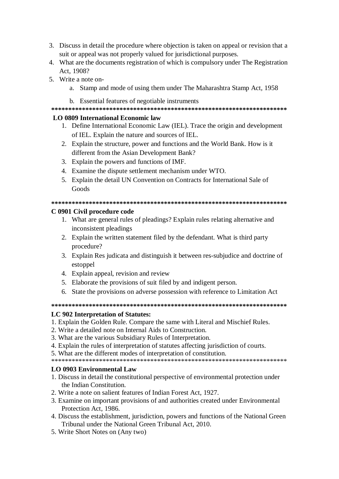- 3. Discuss in detail the procedure where objection is taken on appeal or revision that a suit or appeal was not properly valued for jurisdictional purposes.
- 4. What are the documents registration of which is compulsory under The Registration Act, 1908?
- 5. Write a note on
	- a. Stamp and mode of using them under The Maharashtra Stamp Act, 1958
	- b. Essential features of negotiable instruments

### LO 0809 International Economic law

- 1. Define International Economic Law (IEL). Trace the origin and development of IEL. Explain the nature and sources of IEL.
- 2. Explain the structure, power and functions and the World Bank. How is it different from the Asian Development Bank?
- 3. Explain the powers and functions of IMF.
- 4. Examine the dispute settlement mechanism under WTO.
- 5. Explain the detail UN Convention on Contracts for International Sale of Goods

#### 

### C 0901 Civil procedure code

- 1. What are general rules of pleadings? Explain rules relating alternative and inconsistent pleadings
- 2. Explain the written statement filed by the defendant. What is third party procedure?
- 3. Explain Res judicata and distinguish it between res-subjudice and doctrine of estoppel
- 4. Explain appeal, revision and review
- 5. Elaborate the provisions of suit filed by and indigent person.
- 6. State the provisions on adverse possession with reference to Limitation Act

### 

### LC 902 Interpretation of Statutes:

- 1. Explain the Golden Rule. Compare the same with Literal and Mischief Rules.
- 2. Write a detailed note on Internal Aids to Construction.
- 3. What are the various Subsidiary Rules of Interpretation.
- 4. Explain the rules of interpretation of statutes affecting jurisdiction of courts.
- 5. What are the different modes of interpretation of constitution.

### **LO 0903 Environmental Law**

- 1. Discuss in detail the constitutional perspective of environmental protection under the Indian Constitution.
- 2. Write a note on salient features of Indian Forest Act, 1927.
- 3. Examine on important provisions of and authorities created under Environmental Protection Act. 1986.
- 4. Discuss the establishment, jurisdiction, powers and functions of the National Green Tribunal under the National Green Tribunal Act, 2010.
- 5. Write Short Notes on (Any two)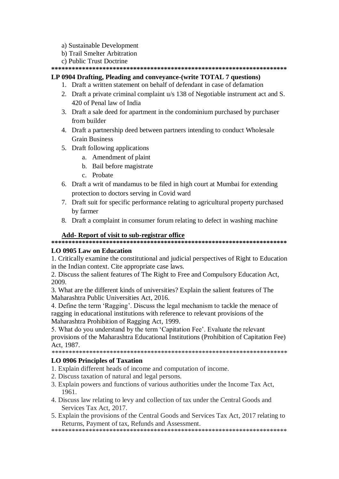- a) Sustainable Development
- b) Trail Smelter Arbitration
- c) Public Trust Doctrine

### LP 0904 Drafting, Pleading and conveyance-(write TOTAL 7 questions)

- 1. Draft a written statement on behalf of defendant in case of defamation
- 2. Draft a private criminal complaint u/s 138 of Negotiable instrument act and S. 420 of Penal law of India
- 3. Draft a sale deed for apartment in the condominium purchased by purchaser from builder
- 4. Draft a partnership deed between partners intending to conduct Wholesale **Grain Business**
- 5. Draft following applications
	- a. Amendment of plaint
		- b. Bail before magistrate
		- c. Probate
- 6. Draft a writ of mandamus to be filed in high court at Mumbai for extending protection to doctors serving in Covid ward
- 7. Draft suit for specific performance relating to agricultural property purchased by farmer
- 8. Draft a complaint in consumer forum relating to defect in washing machine

### Add-Report of visit to sub-registrar office

### **LO 0905 Law on Education**

1. Critically examine the constitutional and judicial perspectives of Right to Education in the Indian context. Cite appropriate case laws.

2. Discuss the salient features of The Right to Free and Compulsory Education Act, 2009.

3. What are the different kinds of universities? Explain the salient features of The Maharashtra Public Universities Act. 2016.

4. Define the term 'Ragging'. Discuss the legal mechanism to tackle the menace of ragging in educational institutions with reference to relevant provisions of the Maharashtra Prohibition of Ragging Act, 1999.

5. What do you understand by the term 'Capitation Fee'. Evaluate the relevant provisions of the Maharashtra Educational Institutions (Prohibition of Capitation Fee) Act. 1987.

### **LO 0906 Principles of Taxation**

- 1. Explain different heads of income and computation of income.
- 2. Discuss taxation of natural and legal persons.
- 3. Explain powers and functions of various authorities under the Income Tax Act, 1961.
- 4. Discuss law relating to levy and collection of tax under the Central Goods and Services Tax Act. 2017.
- 5. Explain the provisions of the Central Goods and Services Tax Act, 2017 relating to Returns, Payment of tax, Refunds and Assessment.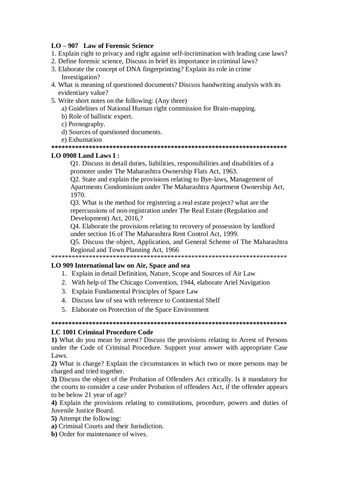### $LO - 907$  Law of Forensic Science

- 1. Explain right to privacy and right against self-incrimination with leading case laws?
- 2. Define forensic science, Discuss in brief its importance in criminal laws?
- 3. Elaborate the concept of DNA fingerprinting? Explain its role in crime Investigation?
- 4. What is meaning of questioned documents? Discuss handwriting analysis with its evidentiary value?
- 5. Write short notes on the following: (Any three)
	- a) Guidelines of National Human right commission for Brain-mapping.
	- b) Role of ballistic expert.
	- c) Pornography.
	- d) Sources of questioned documents.
	- e) Exhumation

### LO 0908 Land Laws  $I:$

Q1. Discuss in detail duties, liabilities, responsibilities and disabilities of a promoter under The Maharashtra Ownership Flats Act, 1963.

Q2. State and explain the provisions relating to Bye-laws, Management of Apartments Condominium under The Maharashtra Apartment Ownership Act, 1970.

O3. What is the method for registering a real estate project? what are the repercussions of non-registration under The Real Estate (Regulation and Development) Act, 2016,?

Q4. Elaborate the provisions relating to recovery of possession by landlord under section 16 of The Maharashtra Rent Control Act, 1999.

Q5. Discuss the object, Application, and General Scheme of The Maharashtra Regional and Town Planning Act, 1966

### LO 909 International law on Air, Space and sea

- 1. Explain in detail Definition, Nature, Scope and Sources of Air Law
- 2. With help of The Chicago Convention, 1944, elaborate Ariel Navigation
- 3. Explain Fundamental Principles of Space Law
- 4. Discuss law of sea with reference to Continental Shelf
- 5. Elaborate on Protection of the Space Environment

### **LC 1001 Criminal Procedure Code**

1) What do you mean by arrest? Discuss the provisions relating to Arrest of Persons under the Code of Criminal Procedure. Support your answer with appropriate Case Laws.

2) What is charge? Explain the circumstances in which two or more persons may be charged and tried together.

3) Discuss the object of the Probation of Offenders Act critically. Is it mandatory for the courts to consider a case under Probation of offenders Act, if the offender appears to be below 21 year of age?

4) Explain the provisions relating to constitutions, procedure, powers and duties of Juvenile Justice Board.

- 5) Attempt the following:
- a) Criminal Courts and their Jurisdiction.
- **b**) Order for maintenance of wives.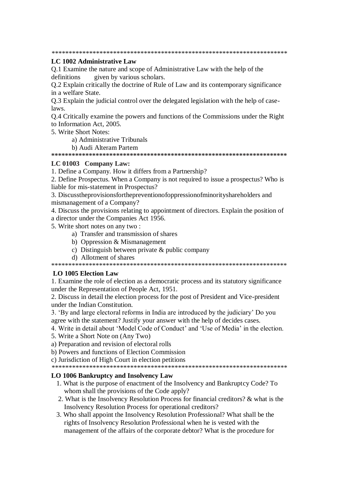### LC 1002 Administrative Law

Q.1 Examine the nature and scope of Administrative Law with the help of the given by various scholars. definitions

O.2 Explain critically the doctrine of Rule of Law and its contemporary significance in a welfare State.

Q.3 Explain the judicial control over the delegated legislation with the help of caselaws.

O.4 Critically examine the powers and functions of the Commissions under the Right to Information Act. 2005.

5. Write Short Notes:

- a) Administrative Tribunals
- b) Audi Alteram Partem

### LC 01003 Company Law:

1. Define a Company. How it differs from a Partnership?

2. Define Prospectus. When a Company is not required to issue a prospectus? Who is liable for mis-statement in Prospectus?

3. Discussthe provisions for the prevention of oppression of minority shareholders and mismanagement of a Company?

4. Discuss the provisions relating to appointment of directors. Explain the position of a director under the Companies Act 1956.

- 5. Write short notes on any two:
	- a) Transfer and transmission of shares
	- b) Oppression & Mismanagement
	- c) Distinguish between private  $&$  public company
	- d) Allotment of shares

### **LO 1005 Election Law**

1. Examine the role of election as a democratic process and its statutory significance under the Representation of People Act, 1951.

2. Discuss in detail the election process for the post of President and Vice-president under the Indian Constitution.

3. 'By and large electoral reforms in India are introduced by the judiciary' Do you agree with the statement? Justify your answer with the help of decides cases.

4. Write in detail about 'Model Code of Conduct' and 'Use of Media' in the election.

- 5. Write a Short Note on (Any Two)
- a) Preparation and revision of electoral rolls
- b) Powers and functions of Election Commission

c) Jurisdiction of High Court in election petitions

### LO 1006 Bankruptcy and Insolvency Law

- 1. What is the purpose of enactment of the Insolvency and Bankruptcy Code? To whom shall the provisions of the Code apply?
- 2. What is the Insolvency Resolution Process for financial creditors? & what is the Insolvency Resolution Process for operational creditors?
- 3. Who shall appoint the Insolvency Resolution Professional? What shall be the rights of Insolvency Resolution Professional when he is vested with the management of the affairs of the corporate debtor? What is the procedure for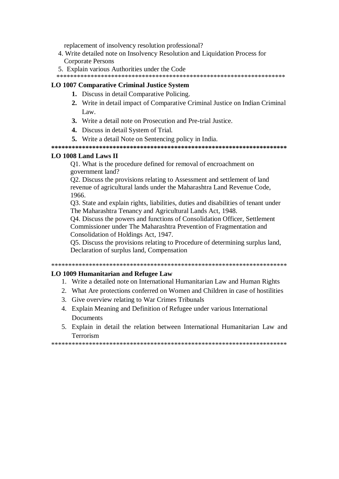replacement of insolvency resolution professional?

- 4. Write detailed note on Insolvency Resolution and Liquidation Process for **Corporate Persons**
- 5. Explain various Authorities under the Code

### **LO 1007 Comparative Criminal Justice System**

- 1. Discuss in detail Comparative Policing.
- 2. Write in detail impact of Comparative Criminal Justice on Indian Criminal Law.
- 3. Write a detail note on Prosecution and Pre-trial Justice.
- 4. Discuss in detail System of Trial.
- 5. Write a detail Note on Sentencing policy in India.

### LO 1008 Land Laws II

O1. What is the procedure defined for removal of encroachment on government land?

O2. Discuss the provisions relating to Assessment and settlement of land revenue of agricultural lands under the Maharashtra Land Revenue Code, 1966.

Q3. State and explain rights, liabilities, duties and disabilities of tenant under The Maharashtra Tenancy and Agricultural Lands Act, 1948.

Q4. Discuss the powers and functions of Consolidation Officer, Settlement Commissioner under The Maharashtra Prevention of Fragmentation and Consolidation of Holdings Act, 1947.

Q5. Discuss the provisions relating to Procedure of determining surplus land, Declaration of surplus land, Compensation

#### 

### **LO 1009 Humanitarian and Refugee Law**

- 1. Write a detailed note on International Humanitarian Law and Human Rights
- 2. What Are protections conferred on Women and Children in case of hostilities
- 3. Give overview relating to War Crimes Tribunals
- 4. Explain Meaning and Definition of Refugee under various International **Documents**
- 5. Explain in detail the relation between International Humanitarian Law and Terrorism